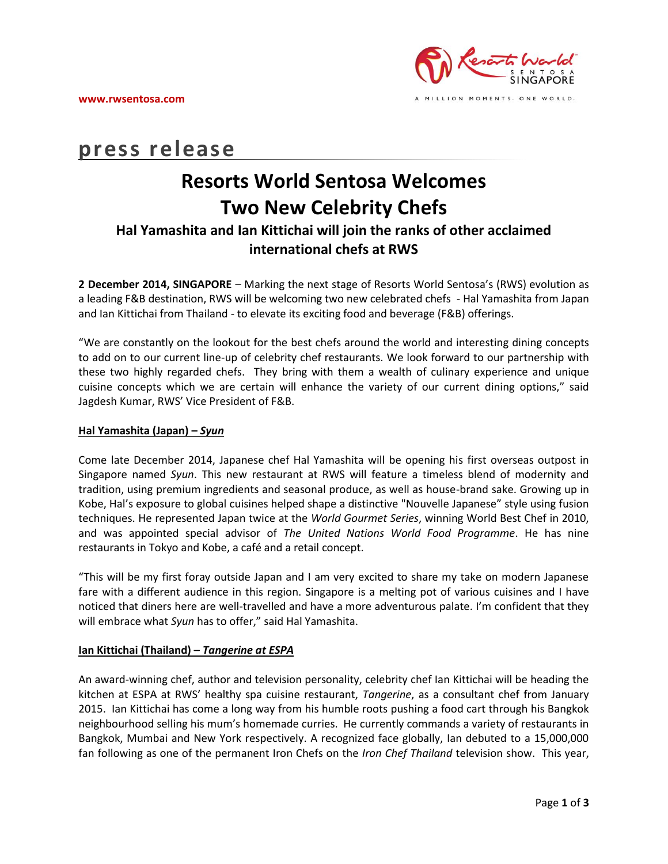

A MILLION MOMENTS. ONE WORLD.

# **press release**

# **Resorts World Sentosa Welcomes Two New Celebrity Chefs**

## **Hal Yamashita and Ian Kittichai will join the ranks of other acclaimed international chefs at RWS**

**2 December 2014, SINGAPORE** – Marking the next stage of Resorts World Sentosa's (RWS) evolution as a leading F&B destination, RWS will be welcoming two new celebrated chefs - Hal Yamashita from Japan and Ian Kittichai from Thailand - to elevate its exciting food and beverage (F&B) offerings.

"We are constantly on the lookout for the best chefs around the world and interesting dining concepts to add on to our current line-up of celebrity chef restaurants. We look forward to our partnership with these two highly regarded chefs. They bring with them a wealth of culinary experience and unique cuisine concepts which we are certain will enhance the variety of our current dining options," said Jagdesh Kumar, RWS' Vice President of F&B.

### **Hal Yamashita (Japan) –** *Syun*

Come late December 2014, Japanese chef Hal Yamashita will be opening his first overseas outpost in Singapore named *Syun*. This new restaurant at RWS will feature a timeless blend of modernity and tradition, using premium ingredients and seasonal produce, as well as house-brand sake. Growing up in Kobe, Hal's exposure to global cuisines helped shape a distinctive "Nouvelle Japanese" style using fusion techniques. He represented Japan twice at the *World Gourmet Series*, winning World Best Chef in 2010, and was appointed special advisor of *The United Nations World Food Programme*. He has nine restaurants in Tokyo and Kobe, a café and a retail concept.

"This will be my first foray outside Japan and I am very excited to share my take on modern Japanese fare with a different audience in this region. Singapore is a melting pot of various cuisines and I have noticed that diners here are well-travelled and have a more adventurous palate. I'm confident that they will embrace what *Syun* has to offer," said Hal Yamashita.

### **Ian Kittichai (Thailand) –** *Tangerine at ESPA*

An award-winning chef, author and television personality, celebrity chef Ian Kittichai will be heading the kitchen at ESPA at RWS' healthy spa cuisine restaurant, *Tangerine*, as a consultant chef from January 2015. Ian Kittichai has come a long way from his humble roots pushing a food cart through his Bangkok neighbourhood selling his mum's homemade curries. He currently commands a variety of restaurants in Bangkok, Mumbai and New York respectively. A recognized face globally, Ian debuted to a 15,000,000 fan following as one of the permanent Iron Chefs on the *Iron Chef Thailand* television show. This year,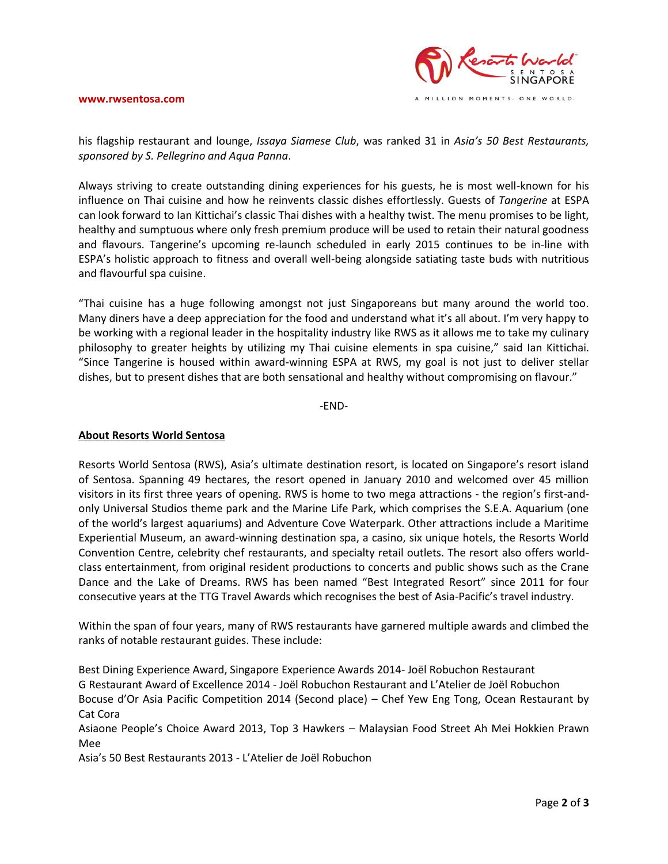#### **www.rwsentosa.com**



his flagship restaurant and lounge, *Issaya Siamese Club*, was ranked 31 in *Asia's 50 Best Restaurants, sponsored by S. Pellegrino and Aqua Panna*.

Always striving to create outstanding dining experiences for his guests, he is most well-known for his influence on Thai cuisine and how he reinvents classic dishes effortlessly. Guests of *Tangerine* at ESPA can look forward to Ian Kittichai's classic Thai dishes with a healthy twist. The menu promises to be light, healthy and sumptuous where only fresh premium produce will be used to retain their natural goodness and flavours. Tangerine's upcoming re-launch scheduled in early 2015 continues to be in-line with ESPA's holistic approach to fitness and overall well-being alongside satiating taste buds with nutritious and flavourful spa cuisine.

"Thai cuisine has a huge following amongst not just Singaporeans but many around the world too. Many diners have a deep appreciation for the food and understand what it's all about. I'm very happy to be working with a regional leader in the hospitality industry like RWS as it allows me to take my culinary philosophy to greater heights by utilizing my Thai cuisine elements in spa cuisine," said Ian Kittichai. "Since Tangerine is housed within award-winning ESPA at RWS, my goal is not just to deliver stellar dishes, but to present dishes that are both sensational and healthy without compromising on flavour."

-END-

#### **About Resorts World Sentosa**

Resorts World Sentosa (RWS), Asia's ultimate destination resort, is located on Singapore's resort island of Sentosa. Spanning 49 hectares, the resort opened in January 2010 and welcomed over 45 million visitors in its first three years of opening. RWS is home to two mega attractions - the region's first-andonly Universal Studios theme park and the Marine Life Park, which comprises the S.E.A. Aquarium (one of the world's largest aquariums) and Adventure Cove Waterpark. Other attractions include a Maritime Experiential Museum, an award-winning destination spa, a casino, six unique hotels, the Resorts World Convention Centre, celebrity chef restaurants, and specialty retail outlets. The resort also offers worldclass entertainment, from original resident productions to concerts and public shows such as the Crane Dance and the Lake of Dreams. RWS has been named "Best Integrated Resort" since 2011 for four consecutive years at the TTG Travel Awards which recognises the best of Asia-Pacific's travel industry.

Within the span of four years, many of RWS restaurants have garnered multiple awards and climbed the ranks of notable restaurant guides. These include:

Best Dining Experience Award, Singapore Experience Awards 2014- Joël Robuchon Restaurant G Restaurant Award of Excellence 2014 - Joël Robuchon Restaurant and L'Atelier de Joël Robuchon Bocuse d'Or Asia Pacific Competition 2014 (Second place) – Chef Yew Eng Tong, Ocean Restaurant by Cat Cora

Asiaone People's Choice Award 2013, Top 3 Hawkers – Malaysian Food Street Ah Mei Hokkien Prawn Mee

Asia's 50 Best Restaurants 2013 - L'Atelier de Joël Robuchon